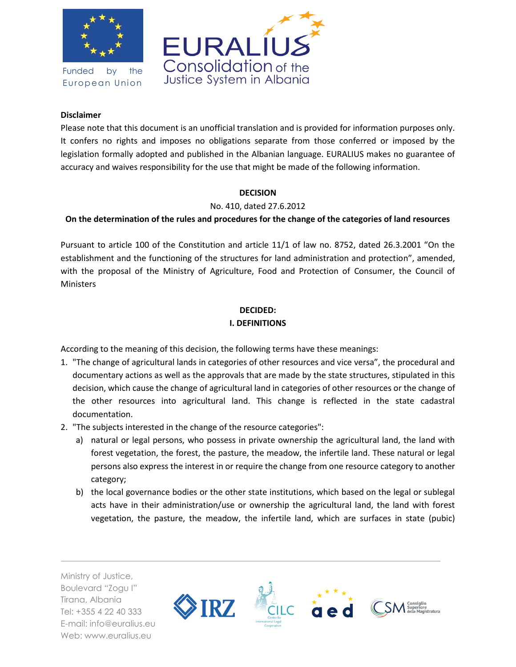

Funded by the European Union



#### **Disclaimer**

Please note that this document is an unofficial translation and is provided for information purposes only. It confers no rights and imposes no obligations separate from those conferred or imposed by the legislation formally adopted and published in the Albanian language. EURALIUS makes no guarantee of accuracy and waives responsibility for the use that might be made of the following information.

#### **DECISION**

No. 410, dated 27.6.2012

## **On the determination of the rules and procedures for the change of the categories of land resources**

Pursuant to article 100 of the Constitution and article 11/1 of law no. 8752, dated 26.3.2001 "On the establishment and the functioning of the structures for land administration and protection", amended, with the proposal of the Ministry of Agriculture, Food and Protection of Consumer, the Council of **Ministers** 

#### **DECIDED: I. DEFINITIONS**

According to the meaning of this decision, the following terms have these meanings:

- 1. "The change of agricultural lands in categories of other resources and vice versa", the procedural and documentary actions as well as the approvals that are made by the state structures, stipulated in this decision, which cause the change of agricultural land in categories of other resources or the change of the other resources into agricultural land. This change is reflected in the state cadastral documentation.
- 2. "The subjects interested in the change of the resource categories":
	- a) natural or legal persons, who possess in private ownership the agricultural land, the land with forest vegetation, the forest, the pasture, the meadow, the infertile land. These natural or legal persons also express the interest in or require the change from one resource category to another category;
	- b) the local governance bodies or the other state institutions, which based on the legal or sublegal acts have in their administration/use or ownership the agricultural land, the land with forest vegetation, the pasture, the meadow, the infertile land, which are surfaces in state (pubic)

Ministry of Justice, Boulevard "Zogu I" Tirana, Albania Tel: +355 4 22 40 333 E-mail: info@euralius.eu Web: www.euralius.eu

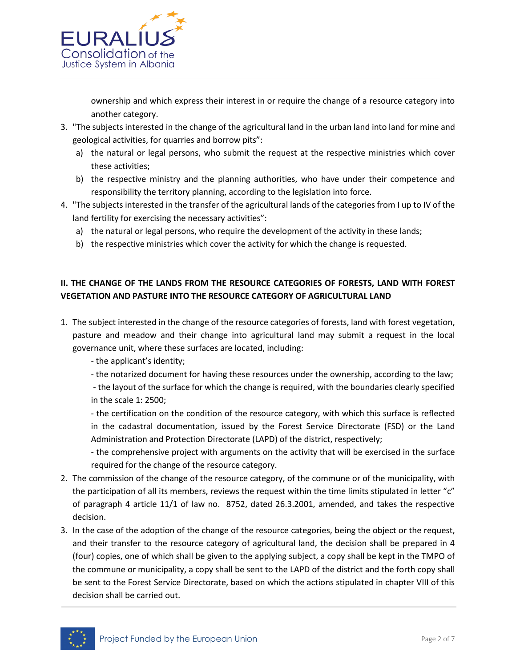

ownership and which express their interest in or require the change of a resource category into another category.

- 3. "The subjects interested in the change of the agricultural land in the urban land into land for mine and geological activities, for quarries and borrow pits":
	- a) the natural or legal persons, who submit the request at the respective ministries which cover these activities;
	- b) the respective ministry and the planning authorities, who have under their competence and responsibility the territory planning, according to the legislation into force.
- 4. "The subjects interested in the transfer of the agricultural lands of the categories from I up to IV of the land fertility for exercising the necessary activities":
	- a) the natural or legal persons, who require the development of the activity in these lands;
	- b) the respective ministries which cover the activity for which the change is requested.

# **II. THE CHANGE OF THE LANDS FROM THE RESOURCE CATEGORIES OF FORESTS, LAND WITH FOREST VEGETATION AND PASTURE INTO THE RESOURCE CATEGORY OF AGRICULTURAL LAND**

- 1. The subject interested in the change of the resource categories of forests, land with forest vegetation, pasture and meadow and their change into agricultural land may submit a request in the local governance unit, where these surfaces are located, including:
	- the applicant's identity;
	- the notarized document for having these resources under the ownership, according to the law;

- the layout of the surface for which the change is required, with the boundaries clearly specified in the scale 1: 2500;

- the certification on the condition of the resource category, with which this surface is reflected in the cadastral documentation, issued by the Forest Service Directorate (FSD) or the Land Administration and Protection Directorate (LAPD) of the district, respectively;

- the comprehensive project with arguments on the activity that will be exercised in the surface required for the change of the resource category.

- 2. The commission of the change of the resource category, of the commune or of the municipality, with the participation of all its members, reviews the request within the time limits stipulated in letter "c" of paragraph 4 article 11/1 of law no. 8752, dated 26.3.2001, amended, and takes the respective decision.
- 3. In the case of the adoption of the change of the resource categories, being the object or the request, and their transfer to the resource category of agricultural land, the decision shall be prepared in 4 (four) copies, one of which shall be given to the applying subject, a copy shall be kept in the TMPO of the commune or municipality, a copy shall be sent to the LAPD of the district and the forth copy shall be sent to the Forest Service Directorate, based on which the actions stipulated in chapter VIII of this decision shall be carried out.

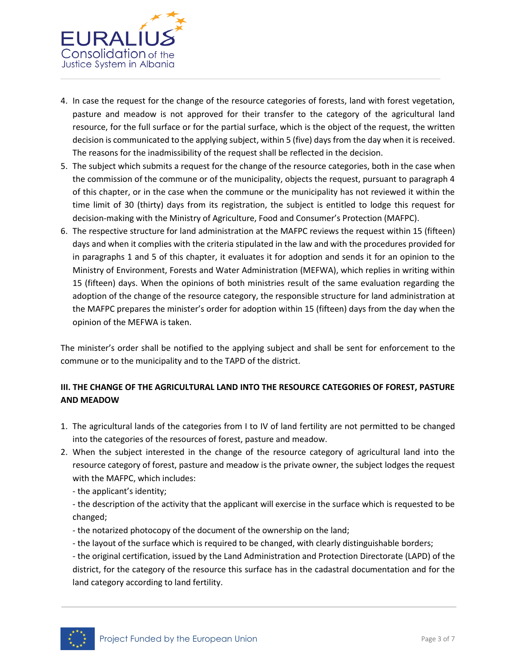

- 4. In case the request for the change of the resource categories of forests, land with forest vegetation, pasture and meadow is not approved for their transfer to the category of the agricultural land resource, for the full surface or for the partial surface, which is the object of the request, the written decision is communicated to the applying subject, within 5 (five) days from the day when it is received. The reasons for the inadmissibility of the request shall be reflected in the decision.
- 5. The subject which submits a request for the change of the resource categories, both in the case when the commission of the commune or of the municipality, objects the request, pursuant to paragraph 4 of this chapter, or in the case when the commune or the municipality has not reviewed it within the time limit of 30 (thirty) days from its registration, the subject is entitled to lodge this request for decision-making with the Ministry of Agriculture, Food and Consumer's Protection (MAFPC).
- 6. The respective structure for land administration at the MAFPC reviews the request within 15 (fifteen) days and when it complies with the criteria stipulated in the law and with the procedures provided for in paragraphs 1 and 5 of this chapter, it evaluates it for adoption and sends it for an opinion to the Ministry of Environment, Forests and Water Administration (MEFWA), which replies in writing within 15 (fifteen) days. When the opinions of both ministries result of the same evaluation regarding the adoption of the change of the resource category, the responsible structure for land administration at the MAFPC prepares the minister's order for adoption within 15 (fifteen) days from the day when the opinion of the MEFWA is taken.

The minister's order shall be notified to the applying subject and shall be sent for enforcement to the commune or to the municipality and to the TAPD of the district.

## **III. THE CHANGE OF THE AGRICULTURAL LAND INTO THE RESOURCE CATEGORIES OF FOREST, PASTURE AND MEADOW**

- 1. The agricultural lands of the categories from I to IV of land fertility are not permitted to be changed into the categories of the resources of forest, pasture and meadow.
- 2. When the subject interested in the change of the resource category of agricultural land into the resource category of forest, pasture and meadow is the private owner, the subject lodges the request with the MAFPC, which includes:
	- the applicant's identity;
	- the description of the activity that the applicant will exercise in the surface which is requested to be changed;
	- the notarized photocopy of the document of the ownership on the land;
	- the layout of the surface which is required to be changed, with clearly distinguishable borders;
	- the original certification, issued by the Land Administration and Protection Directorate (LAPD) of the district, for the category of the resource this surface has in the cadastral documentation and for the land category according to land fertility.

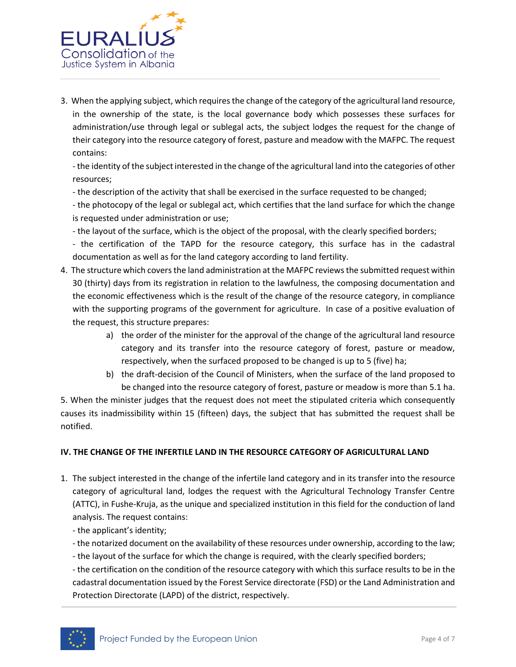

3. When the applying subject, which requires the change of the category of the agricultural land resource, in the ownership of the state, is the local governance body which possesses these surfaces for administration/use through legal or sublegal acts, the subject lodges the request for the change of their category into the resource category of forest, pasture and meadow with the MAFPC. The request contains:

- the identity of the subject interested in the change of the agricultural land into the categories of other resources;

- the description of the activity that shall be exercised in the surface requested to be changed;

- the photocopy of the legal or sublegal act, which certifies that the land surface for which the change is requested under administration or use;

- the layout of the surface, which is the object of the proposal, with the clearly specified borders;

- the certification of the TAPD for the resource category, this surface has in the cadastral documentation as well as for the land category according to land fertility.

- 4. The structure which covers the land administration at the MAFPC reviews the submitted request within 30 (thirty) days from its registration in relation to the lawfulness, the composing documentation and the economic effectiveness which is the result of the change of the resource category, in compliance with the supporting programs of the government for agriculture. In case of a positive evaluation of the request, this structure prepares:
	- a) the order of the minister for the approval of the change of the agricultural land resource category and its transfer into the resource category of forest, pasture or meadow, respectively, when the surfaced proposed to be changed is up to 5 (five) ha;
	- b) the draft-decision of the Council of Ministers, when the surface of the land proposed to be changed into the resource category of forest, pasture or meadow is more than 5.1 ha.

5. When the minister judges that the request does not meet the stipulated criteria which consequently causes its inadmissibility within 15 (fifteen) days, the subject that has submitted the request shall be notified.

## **IV. THE CHANGE OF THE INFERTILE LAND IN THE RESOURCE CATEGORY OF AGRICULTURAL LAND**

- 1. The subject interested in the change of the infertile land category and in its transfer into the resource category of agricultural land, lodges the request with the Agricultural Technology Transfer Centre (ATTC), in Fushe-Kruja, as the unique and specialized institution in this field for the conduction of land analysis. The request contains:
	- the applicant's identity;
	- the notarized document on the availability of these resources under ownership, according to the law;
	- the layout of the surface for which the change is required, with the clearly specified borders;

- the certification on the condition of the resource category with which this surface results to be in the cadastral documentation issued by the Forest Service directorate (FSD) or the Land Administration and Protection Directorate (LAPD) of the district, respectively.

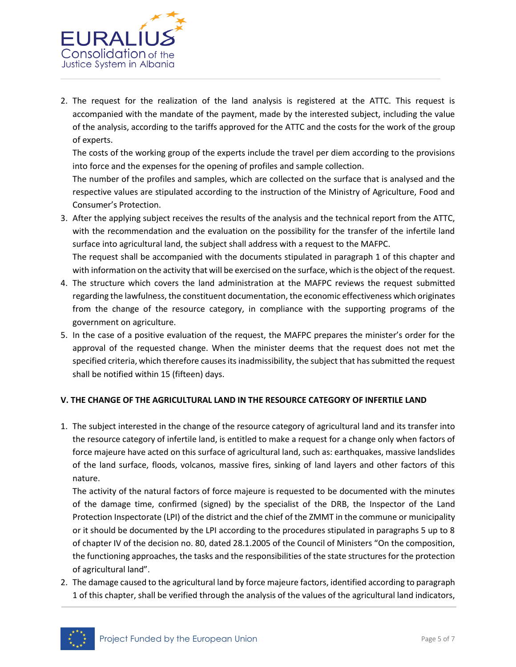

2. The request for the realization of the land analysis is registered at the ATTC. This request is accompanied with the mandate of the payment, made by the interested subject, including the value of the analysis, according to the tariffs approved for the ATTC and the costs for the work of the group of experts.

The costs of the working group of the experts include the travel per diem according to the provisions into force and the expenses for the opening of profiles and sample collection.

The number of the profiles and samples, which are collected on the surface that is analysed and the respective values are stipulated according to the instruction of the Ministry of Agriculture, Food and Consumer's Protection.

3. After the applying subject receives the results of the analysis and the technical report from the ATTC, with the recommendation and the evaluation on the possibility for the transfer of the infertile land surface into agricultural land, the subject shall address with a request to the MAFPC.

The request shall be accompanied with the documents stipulated in paragraph 1 of this chapter and with information on the activity that will be exercised on the surface, which is the object of the request.

- 4. The structure which covers the land administration at the MAFPC reviews the request submitted regarding the lawfulness, the constituent documentation, the economic effectiveness which originates from the change of the resource category, in compliance with the supporting programs of the government on agriculture.
- 5. In the case of a positive evaluation of the request, the MAFPC prepares the minister's order for the approval of the requested change. When the minister deems that the request does not met the specified criteria, which therefore causes its inadmissibility, the subject that has submitted the request shall be notified within 15 (fifteen) days.

## **V. THE CHANGE OF THE AGRICULTURAL LAND IN THE RESOURCE CATEGORY OF INFERTILE LAND**

1. The subject interested in the change of the resource category of agricultural land and its transfer into the resource category of infertile land, is entitled to make a request for a change only when factors of force majeure have acted on this surface of agricultural land, such as: earthquakes, massive landslides of the land surface, floods, volcanos, massive fires, sinking of land layers and other factors of this nature.

The activity of the natural factors of force majeure is requested to be documented with the minutes of the damage time, confirmed (signed) by the specialist of the DRB, the Inspector of the Land Protection Inspectorate (LPI) of the district and the chief of the ZMMT in the commune or municipality or it should be documented by the LPI according to the procedures stipulated in paragraphs 5 up to 8 of chapter IV of the decision no. 80, dated 28.1.2005 of the Council of Ministers "On the composition, the functioning approaches, the tasks and the responsibilities of the state structures for the protection of agricultural land".

2. The damage caused to the agricultural land by force majeure factors, identified according to paragraph 1 of this chapter, shall be verified through the analysis of the values of the agricultural land indicators,

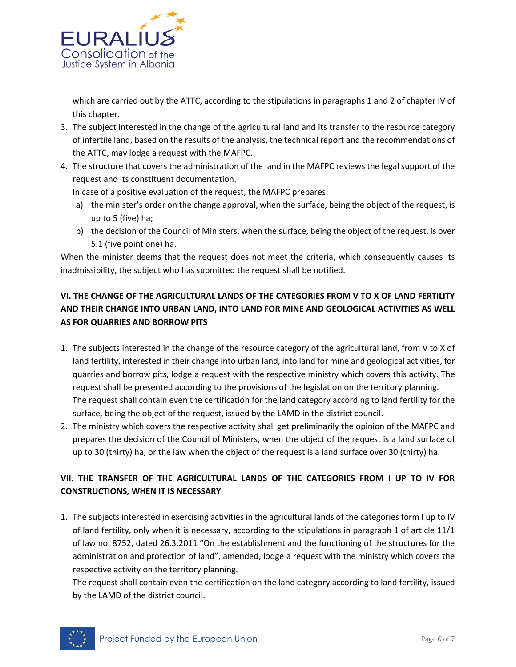

which are carried out by the ATTC, according to the stipulations in paragraphs 1 and 2 of chapter IV of this chapter.

- 3. The subject interested in the change of the agricultural land and its transfer to the resource category of infertile land, based on the results of the analysis, the technical report and the recommendations of the ATTC, may lodge a request with the MAFPC.
- 4. The structure that covers the administration of the land in the MAFPC reviews the legal support of the request and its constituent documentation.

In case of a positive evaluation of the request, the MAFPC prepares:

- a) the minister's order on the change approval, when the surface, being the object of the request, is up to 5 (five) ha;
- b) the decision of the Council of Ministers, when the surface, being the object of the request, is over 5.1 (five point one) ha.

When the minister deems that the request does not meet the criteria, which consequently causes its inadmissibility, the subject who has submitted the request shall be notified.

# **VI. THE CHANGE OF THE AGRICULTURAL LANDS OF THE CATEGORIES FROM V TO X OF LAND FERTILITY AND THEIR CHANGE INTO URBAN LAND, INTO LAND FOR MINE AND GEOLOGICAL ACTIVITIES AS WELL AS FOR QUARRIES AND BORROW PITS**

- 1. The subjects interested in the change of the resource category of the agricultural land, from V to X of land fertility, interested in their change into urban land, into land for mine and geological activities, for quarries and borrow pits, lodge a request with the respective ministry which covers this activity. The request shall be presented according to the provisions of the legislation on the territory planning. The request shall contain even the certification for the land category according to land fertility for the surface, being the object of the request, issued by the LAMD in the district council.
- 2. The ministry which covers the respective activity shall get preliminarily the opinion of the MAFPC and prepares the decision of the Council of Ministers, when the object of the request is a land surface of up to 30 (thirty) ha, or the law when the object of the request is a land surface over 30 (thirty) ha.

## **VII. THE TRANSFER OF THE AGRICULTURAL LANDS OF THE CATEGORIES FROM I UP TO IV FOR CONSTRUCTIONS, WHEN IT IS NECESSARY**

1. The subjects interested in exercising activities in the agricultural lands of the categories form I up to IV of land fertility, only when it is necessary, according to the stipulations in paragraph 1 of article 11/1 of law no. 8752, dated 26.3.2011 "On the establishment and the functioning of the structures for the administration and protection of land", amended, lodge a request with the ministry which covers the respective activity on the territory planning.

The request shall contain even the certification on the land category according to land fertility, issued by the LAMD of the district council.